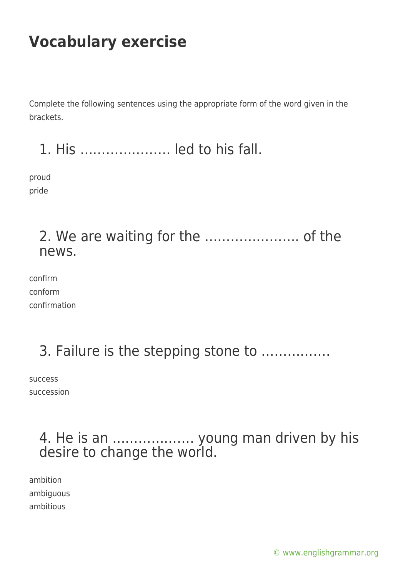Complete the following sentences using the appropriate form of the word given in the brackets.

1. His ………………… led to his fall.

proud pride

#### 2. We are waiting for the …………………. of the news.

confirm conform confirmation

## 3. Failure is the stepping stone to …………….

success succession

#### 4. He is an ………………. young man driven by his desire to change the world.

ambition ambiguous ambitious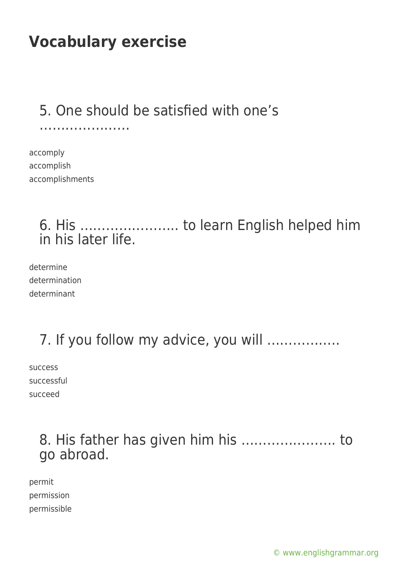## 5. One should be satisfied with one's

accomply accomplish accomplishments

…………………………………………

## 6. His ………………….. to learn English helped him in his later life.

determine determination determinant

## 7. If you follow my advice, you will ……………..

success successful succeed

## 8. His father has given him his …………………. to go abroad.

permit permission permissible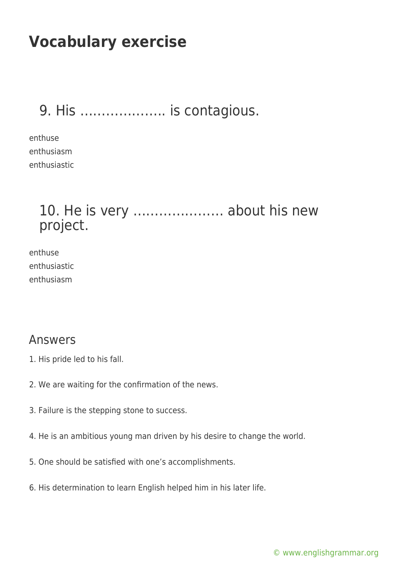## 9. His ……………….. is contagious.

enthuse enthusiasm enthusiastic

#### 10. He is very ………………… about his new project.

enthuse enthusiastic enthusiasm

#### Answers

- 1. His pride led to his fall.
- 2. We are waiting for the confirmation of the news.
- 3. Failure is the stepping stone to success.
- 4. He is an ambitious young man driven by his desire to change the world.
- 5. One should be satisfied with one's accomplishments.
- 6. His determination to learn English helped him in his later life.